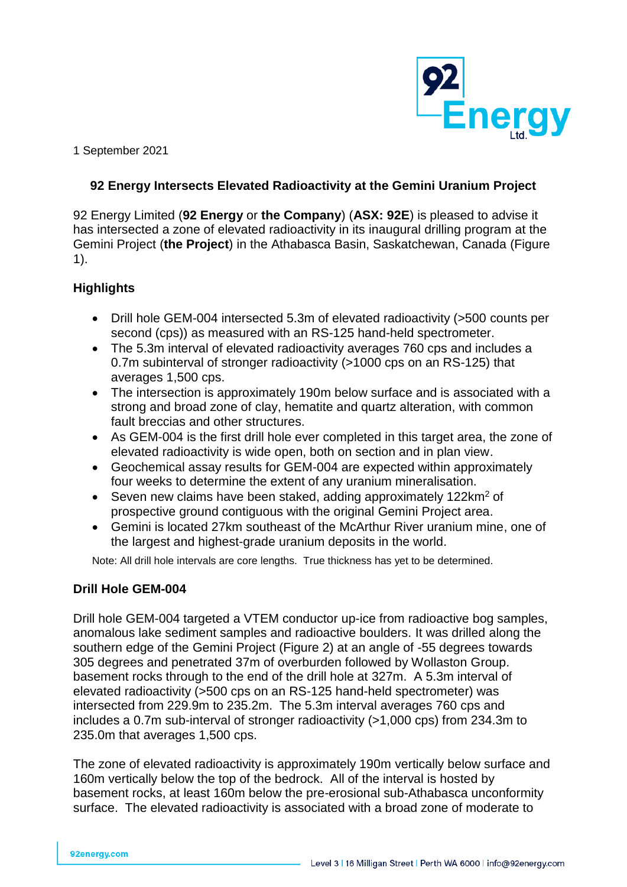

1 September 2021

### **92 Energy Intersects Elevated Radioactivity at the Gemini Uranium Project**

92 Energy Limited (**92 Energy** or **the Company**) (**ASX: 92E**) is pleased to advise it has intersected a zone of elevated radioactivity in its inaugural drilling program at the Gemini Project (**the Project**) in the Athabasca Basin, Saskatchewan, Canada (Figure 1).

### **Highlights**

- Drill hole GEM-004 intersected 5.3m of elevated radioactivity (>500 counts per second (cps)) as measured with an RS-125 hand-held spectrometer.
- The 5.3m interval of elevated radioactivity averages 760 cps and includes a 0.7m subinterval of stronger radioactivity (>1000 cps on an RS-125) that averages 1,500 cps.
- The intersection is approximately 190m below surface and is associated with a strong and broad zone of clay, hematite and quartz alteration, with common fault breccias and other structures.
- As GEM-004 is the first drill hole ever completed in this target area, the zone of elevated radioactivity is wide open, both on section and in plan view.
- Geochemical assay results for GEM-004 are expected within approximately four weeks to determine the extent of any uranium mineralisation.
- Seven new claims have been staked, adding approximately  $122 \text{km}^2$  of prospective ground contiguous with the original Gemini Project area.
- Gemini is located 27km southeast of the McArthur River uranium mine, one of the largest and highest-grade uranium deposits in the world.

Note: All drill hole intervals are core lengths. True thickness has yet to be determined.

### **Drill Hole GEM-004**

Drill hole GEM-004 targeted a VTEM conductor up-ice from radioactive bog samples, anomalous lake sediment samples and radioactive boulders. It was drilled along the southern edge of the Gemini Project (Figure 2) at an angle of -55 degrees towards 305 degrees and penetrated 37m of overburden followed by Wollaston Group. basement rocks through to the end of the drill hole at 327m. A 5.3m interval of elevated radioactivity (>500 cps on an RS-125 hand-held spectrometer) was intersected from 229.9m to 235.2m. The 5.3m interval averages 760 cps and includes a 0.7m sub-interval of stronger radioactivity (>1,000 cps) from 234.3m to 235.0m that averages 1,500 cps.

The zone of elevated radioactivity is approximately 190m vertically below surface and 160m vertically below the top of the bedrock. All of the interval is hosted by basement rocks, at least 160m below the pre-erosional sub-Athabasca unconformity surface. The elevated radioactivity is associated with a broad zone of moderate to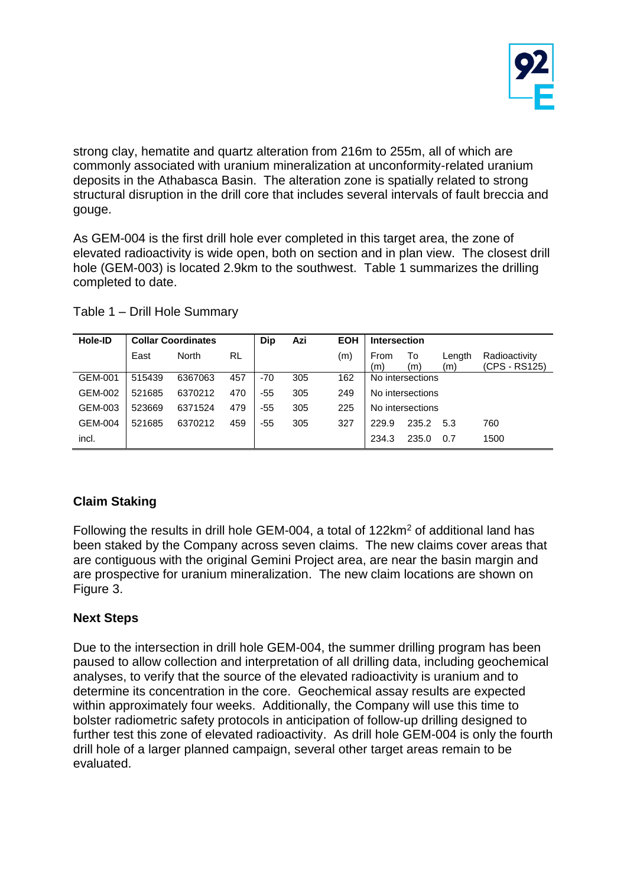

strong clay, hematite and quartz alteration from 216m to 255m, all of which are commonly associated with uranium mineralization at unconformity-related uranium deposits in the Athabasca Basin. The alteration zone is spatially related to strong structural disruption in the drill core that includes several intervals of fault breccia and gouge.

As GEM-004 is the first drill hole ever completed in this target area, the zone of elevated radioactivity is wide open, both on section and in plan view. The closest drill hole (GEM-003) is located 2.9km to the southwest. Table 1 summarizes the drilling completed to date.

| Hole-ID | <b>Collar Coordinates</b> |         |     | Dip   | Azi | <b>EOH</b> | <b>Intersection</b> |                  |               |                                |
|---------|---------------------------|---------|-----|-------|-----|------------|---------------------|------------------|---------------|--------------------------------|
|         | East                      | North   | RL  |       |     | (m)        | From<br>(m)         | To<br>(m)        | Length<br>(m) | Radioactivity<br>(CPS - RS125) |
| GEM-001 | 515439                    | 6367063 | 457 | -70   | 305 | 162        |                     | No intersections |               |                                |
| GEM-002 | 521685                    | 6370212 | 470 | -55   | 305 | 249        |                     | No intersections |               |                                |
| GEM-003 | 523669                    | 6371524 | 479 | $-55$ | 305 | 225        |                     | No intersections |               |                                |
| GEM-004 | 521685                    | 6370212 | 459 | $-55$ | 305 | 327        | 229.9               | 235.2            | 5.3           | 760                            |
| incl.   |                           |         |     |       |     |            | 234.3               | 235.0            | 0.7           | 1500                           |

Table 1 – Drill Hole Summary

## **Claim Staking**

Following the results in drill hole GEM-004, a total of 122km<sup>2</sup> of additional land has been staked by the Company across seven claims. The new claims cover areas that are contiguous with the original Gemini Project area, are near the basin margin and are prospective for uranium mineralization. The new claim locations are shown on Figure 3.

### **Next Steps**

Due to the intersection in drill hole GEM-004, the summer drilling program has been paused to allow collection and interpretation of all drilling data, including geochemical analyses, to verify that the source of the elevated radioactivity is uranium and to determine its concentration in the core. Geochemical assay results are expected within approximately four weeks. Additionally, the Company will use this time to bolster radiometric safety protocols in anticipation of follow-up drilling designed to further test this zone of elevated radioactivity. As drill hole GEM-004 is only the fourth drill hole of a larger planned campaign, several other target areas remain to be evaluated.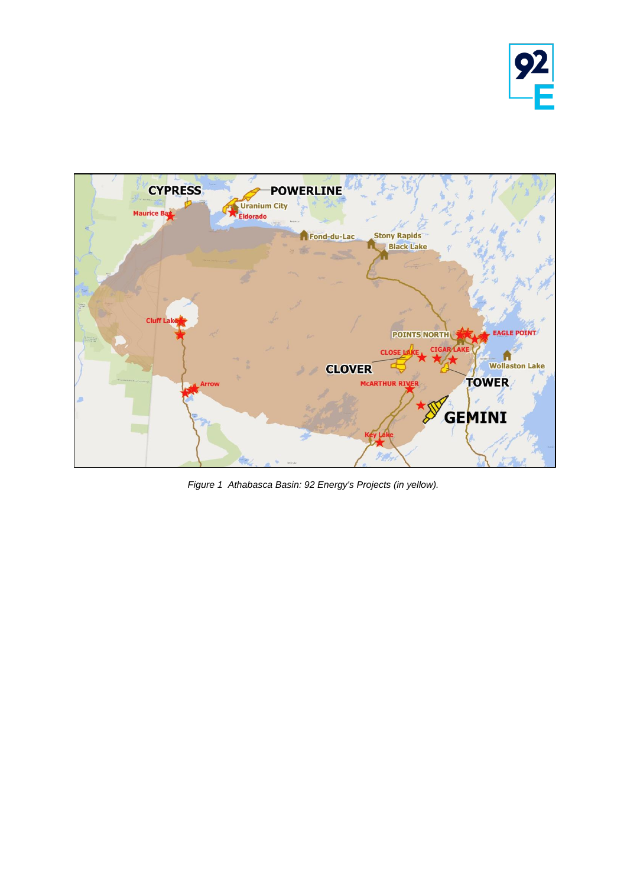



*Figure 1 Athabasca Basin: 92 Energy's Projects (in yellow).*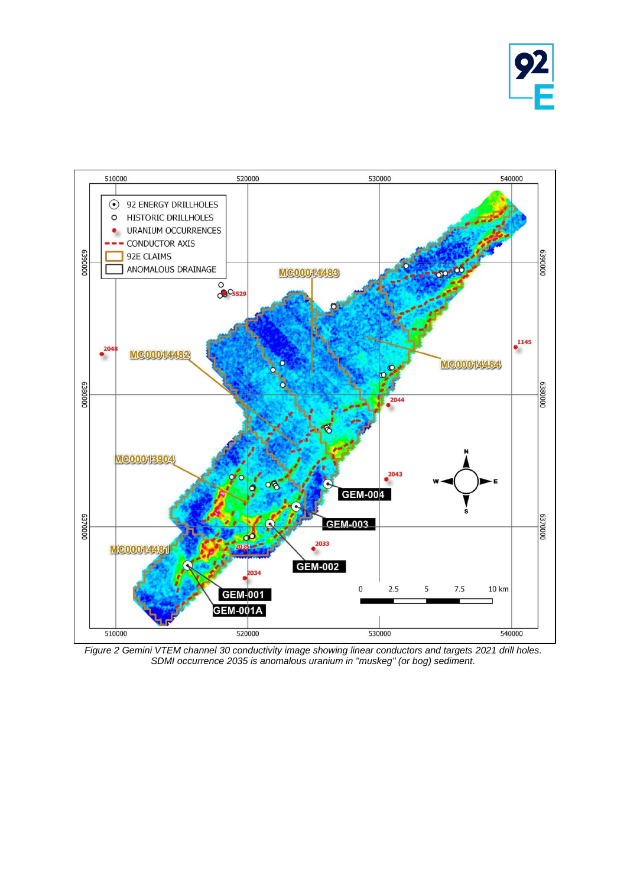



*Figure 2 Gemini VTEM channel 30 conductivity image showing linear conductors and targets 2021 drill holes. SDMI occurrence 2035 is anomalous uranium in "muskeg" (or bog) sediment.*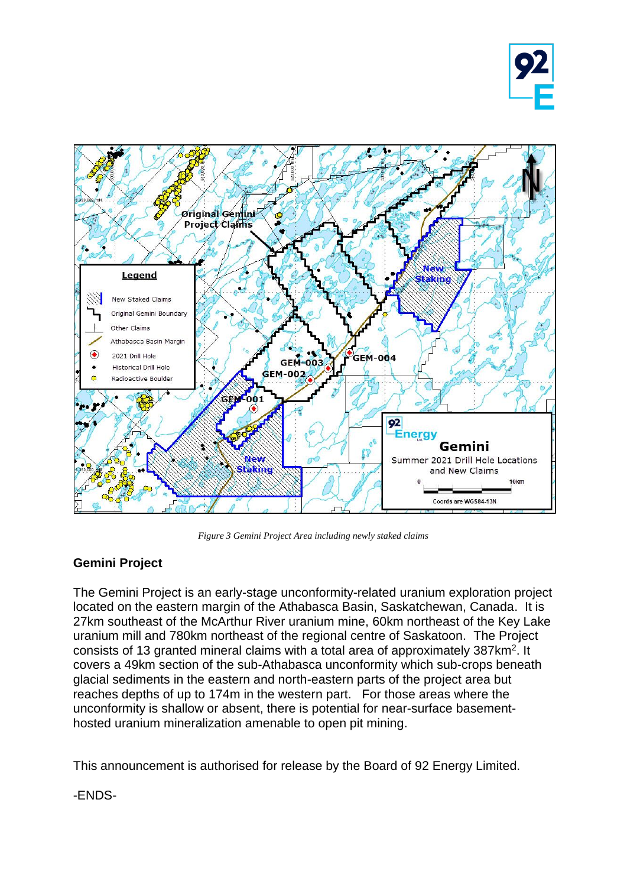



*Figure 3 Gemini Project Area including newly staked claims*

## **Gemini Project**

The Gemini Project is an early-stage unconformity-related uranium exploration project located on the eastern margin of the Athabasca Basin, Saskatchewan, Canada. It is 27km southeast of the McArthur River uranium mine, 60km northeast of the Key Lake uranium mill and 780km northeast of the regional centre of Saskatoon. The Project consists of 13 granted mineral claims with a total area of approximately 387km<sup>2</sup>. It covers a 49km section of the sub-Athabasca unconformity which sub-crops beneath glacial sediments in the eastern and north-eastern parts of the project area but reaches depths of up to 174m in the western part. For those areas where the unconformity is shallow or absent, there is potential for near-surface basementhosted uranium mineralization amenable to open pit mining.

This announcement is authorised for release by the Board of 92 Energy Limited.

-ENDS-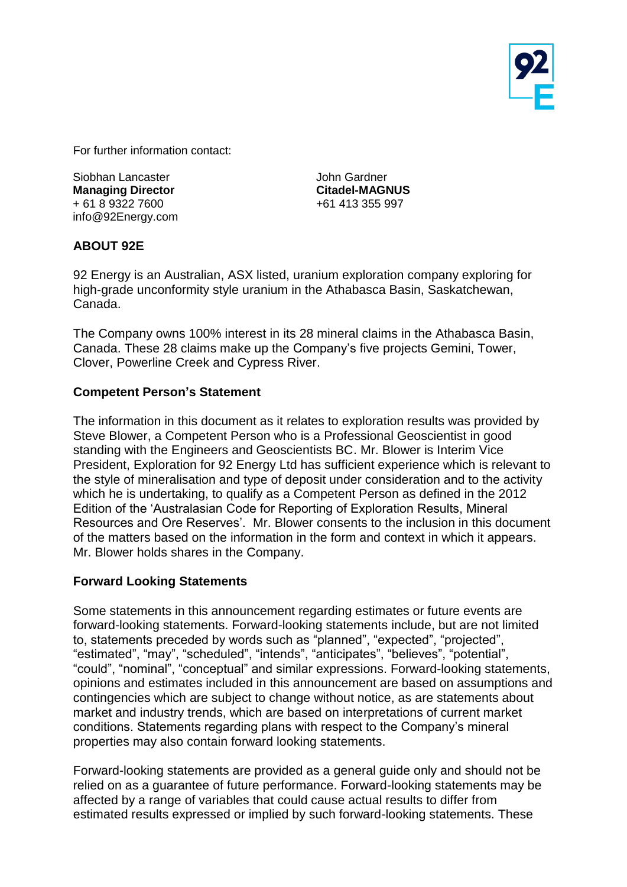

For further information contact:

Siobhan Lancaster **Managing Director** + 61 8 9322 7600 info@92Energy.com John Gardner **Citadel-MAGNUS**  +61 413 355 997

### **ABOUT 92E**

92 Energy is an Australian, ASX listed, uranium exploration company exploring for high-grade unconformity style uranium in the Athabasca Basin, Saskatchewan, Canada.

The Company owns 100% interest in its 28 mineral claims in the Athabasca Basin, Canada. These 28 claims make up the Company's five projects Gemini, Tower, Clover, Powerline Creek and Cypress River.

#### **Competent Person's Statement**

The information in this document as it relates to exploration results was provided by Steve Blower, a Competent Person who is a Professional Geoscientist in good standing with the Engineers and Geoscientists BC. Mr. Blower is Interim Vice President, Exploration for 92 Energy Ltd has sufficient experience which is relevant to the style of mineralisation and type of deposit under consideration and to the activity which he is undertaking, to qualify as a Competent Person as defined in the 2012 Edition of the 'Australasian Code for Reporting of Exploration Results, Mineral Resources and Ore Reserves'. Mr. Blower consents to the inclusion in this document of the matters based on the information in the form and context in which it appears. Mr. Blower holds shares in the Company.

#### **Forward Looking Statements**

Some statements in this announcement regarding estimates or future events are forward-looking statements. Forward-looking statements include, but are not limited to, statements preceded by words such as "planned", "expected", "projected", "estimated", "may", "scheduled", "intends", "anticipates", "believes", "potential", "could", "nominal", "conceptual" and similar expressions. Forward-looking statements, opinions and estimates included in this announcement are based on assumptions and contingencies which are subject to change without notice, as are statements about market and industry trends, which are based on interpretations of current market conditions. Statements regarding plans with respect to the Company's mineral properties may also contain forward looking statements.

Forward-looking statements are provided as a general guide only and should not be relied on as a guarantee of future performance. Forward-looking statements may be affected by a range of variables that could cause actual results to differ from estimated results expressed or implied by such forward-looking statements. These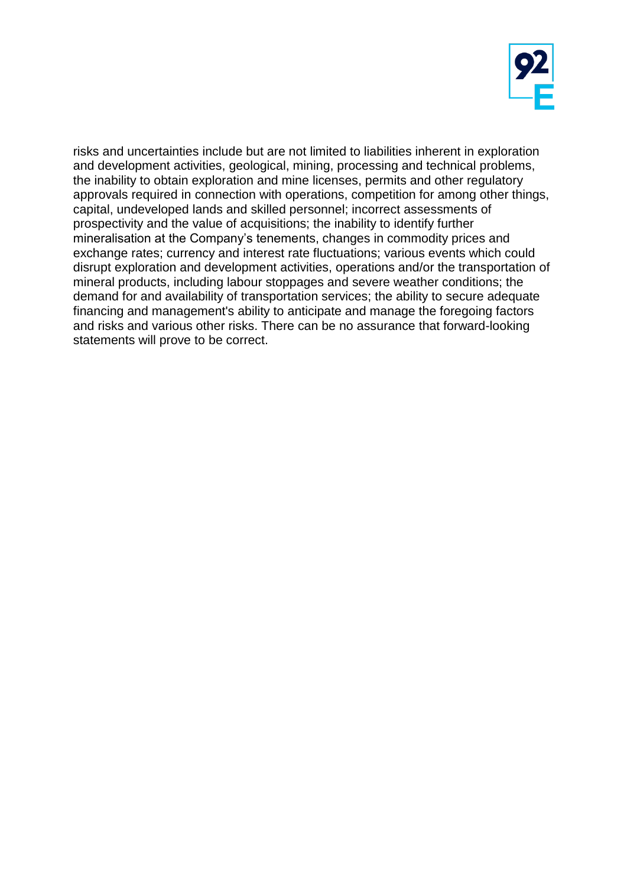

risks and uncertainties include but are not limited to liabilities inherent in exploration and development activities, geological, mining, processing and technical problems, the inability to obtain exploration and mine licenses, permits and other regulatory approvals required in connection with operations, competition for among other things, capital, undeveloped lands and skilled personnel; incorrect assessments of prospectivity and the value of acquisitions; the inability to identify further mineralisation at the Company's tenements, changes in commodity prices and exchange rates; currency and interest rate fluctuations; various events which could disrupt exploration and development activities, operations and/or the transportation of mineral products, including labour stoppages and severe weather conditions; the demand for and availability of transportation services; the ability to secure adequate financing and management's ability to anticipate and manage the foregoing factors and risks and various other risks. There can be no assurance that forward-looking statements will prove to be correct.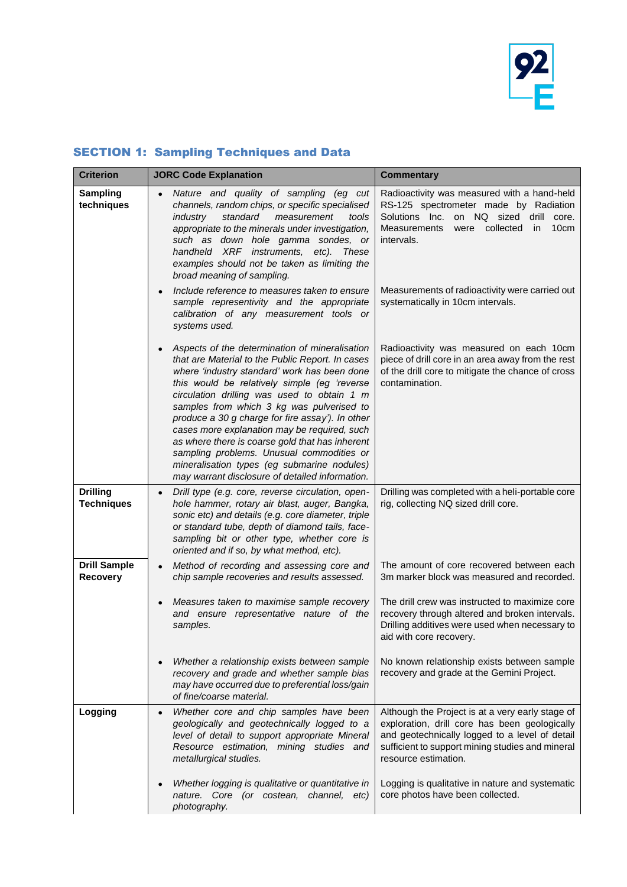

# SECTION 1: Sampling Techniques and Data

| <b>Criterion</b>                       | <b>JORC Code Explanation</b>                                                                                                                                                                                                                                                                                                                                                                                                                                                                                                                                                                         | <b>Commentary</b>                                                                                                                                                                                                                                            |
|----------------------------------------|------------------------------------------------------------------------------------------------------------------------------------------------------------------------------------------------------------------------------------------------------------------------------------------------------------------------------------------------------------------------------------------------------------------------------------------------------------------------------------------------------------------------------------------------------------------------------------------------------|--------------------------------------------------------------------------------------------------------------------------------------------------------------------------------------------------------------------------------------------------------------|
| Sampling<br>techniques                 | Nature and quality of sampling (eg cut<br>channels, random chips, or specific specialised<br><i>industry</i><br>standard<br>measurement<br>tools<br>appropriate to the minerals under investigation,<br>such as down hole gamma sondes, or<br>handheld XRF instruments, etc). These<br>examples should not be taken as limiting the<br>broad meaning of sampling.<br>Include reference to measures taken to ensure                                                                                                                                                                                   | Radioactivity was measured with a hand-held<br>RS-125 spectrometer made by Radiation<br>Solutions Inc.<br>on NQ sized drill<br>core.<br><b>Measurements</b><br>were collected<br>10cm<br>in.<br>intervals.<br>Measurements of radioactivity were carried out |
|                                        | sample representivity and the appropriate<br>calibration of any measurement tools or<br>systems used.                                                                                                                                                                                                                                                                                                                                                                                                                                                                                                | systematically in 10cm intervals.                                                                                                                                                                                                                            |
|                                        | Aspects of the determination of mineralisation<br>that are Material to the Public Report. In cases<br>where 'industry standard' work has been done<br>this would be relatively simple (eg 'reverse<br>circulation drilling was used to obtain 1 m<br>samples from which 3 kg was pulverised to<br>produce a 30 g charge for fire assay'). In other<br>cases more explanation may be required, such<br>as where there is coarse gold that has inherent<br>sampling problems. Unusual commodities or<br>mineralisation types (eg submarine nodules)<br>may warrant disclosure of detailed information. | Radioactivity was measured on each 10cm<br>piece of drill core in an area away from the rest<br>of the drill core to mitigate the chance of cross<br>contamination.                                                                                          |
| <b>Drilling</b><br><b>Techniques</b>   | Drill type (e.g. core, reverse circulation, open-<br>hole hammer, rotary air blast, auger, Bangka,<br>sonic etc) and details (e.g. core diameter, triple<br>or standard tube, depth of diamond tails, face-<br>sampling bit or other type, whether core is<br>oriented and if so, by what method, etc).                                                                                                                                                                                                                                                                                              | Drilling was completed with a heli-portable core<br>rig, collecting NQ sized drill core.                                                                                                                                                                     |
| <b>Drill Sample</b><br><b>Recovery</b> | Method of recording and assessing core and<br>$\bullet$<br>chip sample recoveries and results assessed.                                                                                                                                                                                                                                                                                                                                                                                                                                                                                              | The amount of core recovered between each<br>3m marker block was measured and recorded.                                                                                                                                                                      |
|                                        | Measures taken to maximise sample recovery<br>and ensure representative nature of the<br>samples.                                                                                                                                                                                                                                                                                                                                                                                                                                                                                                    | The drill crew was instructed to maximize core<br>recovery through altered and broken intervals.<br>Drilling additives were used when necessary to<br>aid with core recovery.                                                                                |
|                                        | Whether a relationship exists between sample<br>recovery and grade and whether sample bias<br>may have occurred due to preferential loss/gain<br>of fine/coarse material.                                                                                                                                                                                                                                                                                                                                                                                                                            | No known relationship exists between sample<br>recovery and grade at the Gemini Project.                                                                                                                                                                     |
| Logging                                | Whether core and chip samples have been<br>$\bullet$<br>geologically and geotechnically logged to a<br>level of detail to support appropriate Mineral<br>Resource estimation, mining studies and<br>metallurgical studies.                                                                                                                                                                                                                                                                                                                                                                           | Although the Project is at a very early stage of<br>exploration, drill core has been geologically<br>and geotechnically logged to a level of detail<br>sufficient to support mining studies and mineral<br>resource estimation.                              |
|                                        | Whether logging is qualitative or quantitative in<br>nature. Core (or costean, channel, etc)<br>photography.                                                                                                                                                                                                                                                                                                                                                                                                                                                                                         | Logging is qualitative in nature and systematic<br>core photos have been collected.                                                                                                                                                                          |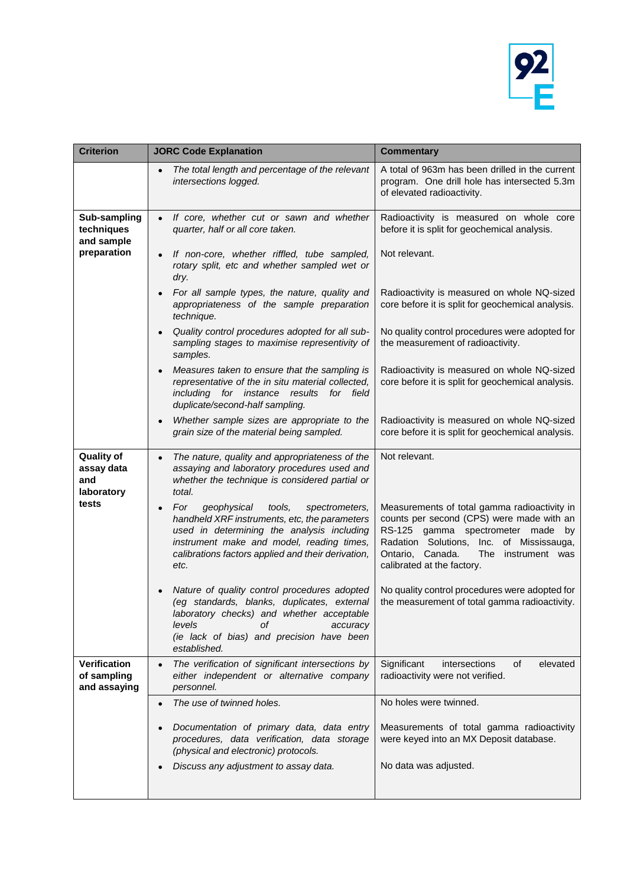

| <b>Criterion</b>                                     | <b>JORC Code Explanation</b>                                                                                                                                                                                                                             | <b>Commentary</b>                                                                                                                                                                                                                                           |
|------------------------------------------------------|----------------------------------------------------------------------------------------------------------------------------------------------------------------------------------------------------------------------------------------------------------|-------------------------------------------------------------------------------------------------------------------------------------------------------------------------------------------------------------------------------------------------------------|
|                                                      | The total length and percentage of the relevant<br>intersections logged.                                                                                                                                                                                 | A total of 963m has been drilled in the current<br>program. One drill hole has intersected 5.3m<br>of elevated radioactivity.                                                                                                                               |
| Sub-sampling<br>techniques<br>and sample             | If core, whether cut or sawn and whether<br>quarter, half or all core taken.                                                                                                                                                                             | Radioactivity is measured on whole core<br>before it is split for geochemical analysis.                                                                                                                                                                     |
| preparation                                          | If non-core, whether riffled, tube sampled,<br>rotary split, etc and whether sampled wet or<br>dry.                                                                                                                                                      | Not relevant.                                                                                                                                                                                                                                               |
|                                                      | For all sample types, the nature, quality and<br>appropriateness of the sample preparation<br>technique.                                                                                                                                                 | Radioactivity is measured on whole NQ-sized<br>core before it is split for geochemical analysis.                                                                                                                                                            |
|                                                      | Quality control procedures adopted for all sub-<br>sampling stages to maximise representivity of<br>samples.                                                                                                                                             | No quality control procedures were adopted for<br>the measurement of radioactivity.                                                                                                                                                                         |
|                                                      | Measures taken to ensure that the sampling is<br>representative of the in situ material collected,<br>including for instance results<br>for field<br>duplicate/second-half sampling.                                                                     | Radioactivity is measured on whole NQ-sized<br>core before it is split for geochemical analysis.                                                                                                                                                            |
|                                                      | Whether sample sizes are appropriate to the<br>$\bullet$<br>grain size of the material being sampled.                                                                                                                                                    | Radioactivity is measured on whole NQ-sized<br>core before it is split for geochemical analysis.                                                                                                                                                            |
| <b>Quality of</b><br>assay data<br>and<br>laboratory | The nature, quality and appropriateness of the<br>$\bullet$<br>assaying and laboratory procedures used and<br>whether the technique is considered partial or<br>total.                                                                                   | Not relevant.                                                                                                                                                                                                                                               |
| tests                                                | For<br>geophysical<br>tools,<br>spectrometers,<br>handheld XRF instruments, etc, the parameters<br>used in determining the analysis including<br>instrument make and model, reading times,<br>calibrations factors applied and their derivation,<br>etc. | Measurements of total gamma radioactivity in<br>counts per second (CPS) were made with an<br>RS-125 gamma spectrometer made<br>by<br>Radation Solutions,<br>Inc. of Mississauga,<br>Ontario, Canada.<br>The<br>instrument was<br>calibrated at the factory. |
|                                                      | Nature of quality control procedures adopted<br>(eg standards, blanks, duplicates, external<br>laboratory checks) and whether acceptable<br>levels<br>οf<br>accuracy<br>(ie lack of bias) and precision have been<br>established.                        | No quality control procedures were adopted for<br>the measurement of total gamma radioactivity.                                                                                                                                                             |
| <b>Verification</b><br>of sampling<br>and assaying   | The verification of significant intersections by<br>$\bullet$<br>either independent or alternative company<br>personnel.                                                                                                                                 | Significant<br>elevated<br>intersections<br>οf<br>radioactivity were not verified.                                                                                                                                                                          |
|                                                      | The use of twinned holes.<br>$\bullet$                                                                                                                                                                                                                   | No holes were twinned.                                                                                                                                                                                                                                      |
|                                                      | Documentation of primary data, data entry<br>procedures, data verification, data storage<br>(physical and electronic) protocols.                                                                                                                         | Measurements of total gamma radioactivity<br>were keyed into an MX Deposit database.                                                                                                                                                                        |
|                                                      | Discuss any adjustment to assay data.                                                                                                                                                                                                                    | No data was adjusted.                                                                                                                                                                                                                                       |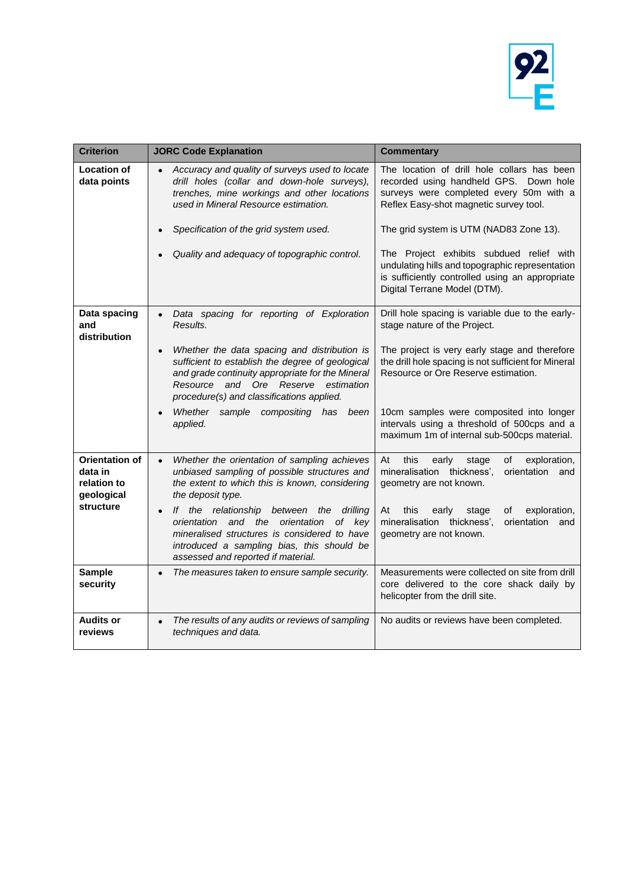

| <b>Criterion</b>                                              | <b>JORC Code Explanation</b>                                                                                                                                                                                                                                                   | <b>Commentary</b>                                                                                                                                                                                                                                                                                                                                                                                       |
|---------------------------------------------------------------|--------------------------------------------------------------------------------------------------------------------------------------------------------------------------------------------------------------------------------------------------------------------------------|---------------------------------------------------------------------------------------------------------------------------------------------------------------------------------------------------------------------------------------------------------------------------------------------------------------------------------------------------------------------------------------------------------|
| <b>Location of</b><br>data points                             | Accuracy and quality of surveys used to locate<br>drill holes (collar and down-hole surveys),<br>trenches, mine workings and other locations<br>used in Mineral Resource estimation.<br>Specification of the grid system used.<br>Quality and adequacy of topographic control. | The location of drill hole collars has been<br>recorded using handheld GPS. Down hole<br>surveys were completed every 50m with a<br>Reflex Easy-shot magnetic survey tool.<br>The grid system is UTM (NAD83 Zone 13).<br>The Project exhibits subdued relief with<br>undulating hills and topographic representation<br>is sufficiently controlled using an appropriate<br>Digital Terrane Model (DTM). |
| Data spacing<br>and<br>distribution                           | Data spacing for reporting of Exploration<br>$\bullet$<br>Results.                                                                                                                                                                                                             | Drill hole spacing is variable due to the early-<br>stage nature of the Project.                                                                                                                                                                                                                                                                                                                        |
|                                                               | Whether the data spacing and distribution is<br>$\bullet$<br>sufficient to establish the degree of geological<br>and grade continuity appropriate for the Mineral<br>Resource<br>and<br>Ore Reserve<br>estimation<br>procedure(s) and classifications applied.                 | The project is very early stage and therefore<br>the drill hole spacing is not sufficient for Mineral<br>Resource or Ore Reserve estimation.                                                                                                                                                                                                                                                            |
|                                                               | Whether sample compositing has<br>been<br>applied.                                                                                                                                                                                                                             | 10cm samples were composited into longer<br>intervals using a threshold of 500cps and a<br>maximum 1m of internal sub-500cps material.                                                                                                                                                                                                                                                                  |
| <b>Orientation of</b><br>data in<br>relation to<br>geological | Whether the orientation of sampling achieves<br>$\bullet$<br>unbiased sampling of possible structures and<br>the extent to which this is known, considering<br>the deposit type.                                                                                               | exploration,<br>At<br>this<br>early<br>stage<br>οf<br>mineralisation thickness',<br>orientation<br>and<br>geometry are not known.                                                                                                                                                                                                                                                                       |
| structure                                                     | If the relationship between the<br>drilling<br>$\bullet$<br>orientation<br>and the<br>of key<br>orientation<br>mineralised structures is considered to have<br>introduced a sampling bias, this should be<br>assessed and reported if material.                                | this<br>At<br>early<br>οf<br>exploration,<br>stage<br>mineralisation thickness',<br>orientation<br>and<br>geometry are not known.                                                                                                                                                                                                                                                                       |
| <b>Sample</b><br>security                                     | The measures taken to ensure sample security.<br>$\bullet$                                                                                                                                                                                                                     | Measurements were collected on site from drill<br>core delivered to the core shack daily by<br>helicopter from the drill site.                                                                                                                                                                                                                                                                          |
| <b>Audits or</b><br>reviews                                   | The results of any audits or reviews of sampling<br>$\bullet$<br>techniques and data.                                                                                                                                                                                          | No audits or reviews have been completed.                                                                                                                                                                                                                                                                                                                                                               |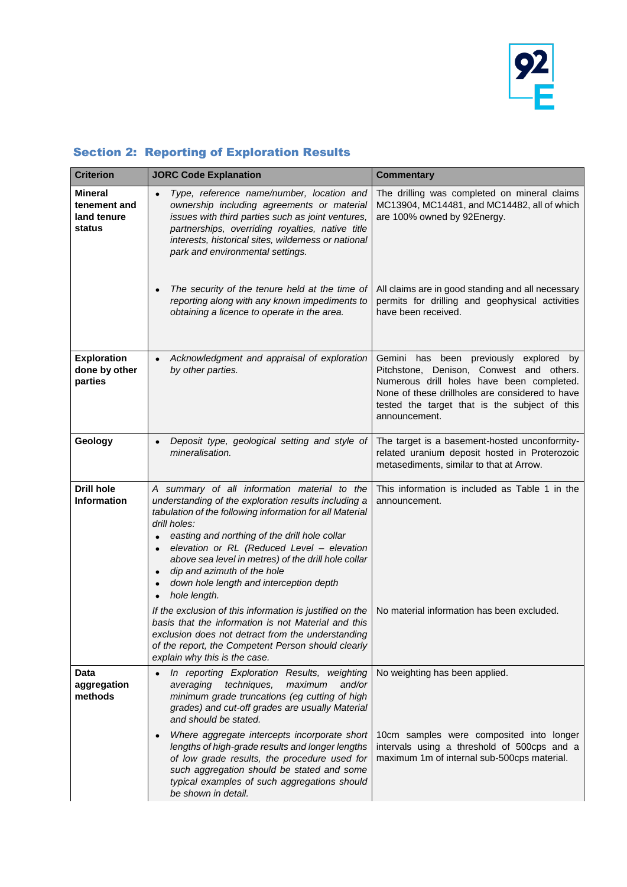

# Section 2: Reporting of Exploration Results

| <b>Criterion</b>                                        | <b>JORC Code Explanation</b>                                                                                                                                                                                                                                                                                                                                                                                                                               | <b>Commentary</b>                                                                                                                                                                                                                                    |
|---------------------------------------------------------|------------------------------------------------------------------------------------------------------------------------------------------------------------------------------------------------------------------------------------------------------------------------------------------------------------------------------------------------------------------------------------------------------------------------------------------------------------|------------------------------------------------------------------------------------------------------------------------------------------------------------------------------------------------------------------------------------------------------|
| <b>Mineral</b><br>tenement and<br>land tenure<br>status | Type, reference name/number, location and<br>$\bullet$<br>ownership including agreements or material<br>issues with third parties such as joint ventures,<br>partnerships, overriding royalties, native title<br>interests, historical sites, wilderness or national<br>park and environmental settings.                                                                                                                                                   | The drilling was completed on mineral claims<br>MC13904, MC14481, and MC14482, all of which<br>are 100% owned by 92Energy.                                                                                                                           |
|                                                         | The security of the tenure held at the time of<br>reporting along with any known impediments to<br>obtaining a licence to operate in the area.                                                                                                                                                                                                                                                                                                             | All claims are in good standing and all necessary<br>permits for drilling and geophysical activities<br>have been received.                                                                                                                          |
| <b>Exploration</b><br>done by other<br>parties          | Acknowledgment and appraisal of exploration<br>$\bullet$<br>by other parties.                                                                                                                                                                                                                                                                                                                                                                              | Gemini has been previously explored by<br>Pitchstone, Denison, Conwest and others.<br>Numerous drill holes have been completed.<br>None of these drillholes are considered to have<br>tested the target that is the subject of this<br>announcement. |
| Geology                                                 | Deposit type, geological setting and style of<br>mineralisation.                                                                                                                                                                                                                                                                                                                                                                                           | The target is a basement-hosted unconformity-<br>related uranium deposit hosted in Proterozoic<br>metasediments, similar to that at Arrow.                                                                                                           |
| <b>Drill hole</b><br><b>Information</b>                 | A summary of all information material to the<br>understanding of the exploration results including a<br>tabulation of the following information for all Material<br>drill holes:<br>easting and northing of the drill hole collar<br>$\bullet$<br>elevation or RL (Reduced Level - elevation<br>above sea level in metres) of the drill hole collar<br>dip and azimuth of the hole<br>$\bullet$<br>down hole length and interception depth<br>hole length. | This information is included as Table 1 in the<br>announcement.                                                                                                                                                                                      |
|                                                         | If the exclusion of this information is justified on the<br>basis that the information is not Material and this<br>exclusion does not detract from the understanding<br>of the report, the Competent Person should clearly<br>explain why this is the case.                                                                                                                                                                                                | No material information has been excluded.                                                                                                                                                                                                           |
| Data<br>aggregation<br>methods                          | In reporting Exploration Results, weighting<br>techniques,<br>maximum<br>and/or<br>averaging<br>minimum grade truncations (eg cutting of high<br>grades) and cut-off grades are usually Material<br>and should be stated.                                                                                                                                                                                                                                  | No weighting has been applied.                                                                                                                                                                                                                       |
|                                                         | Where aggregate intercepts incorporate short<br>$\bullet$<br>lengths of high-grade results and longer lengths<br>of low grade results, the procedure used for<br>such aggregation should be stated and some<br>typical examples of such aggregations should<br>be shown in detail.                                                                                                                                                                         | 10cm samples were composited into longer<br>intervals using a threshold of 500cps and a<br>maximum 1m of internal sub-500cps material.                                                                                                               |